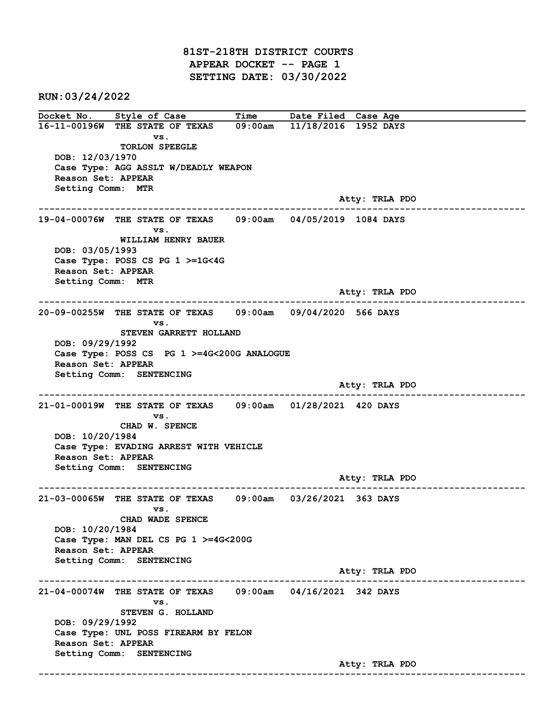81ST-218TH DISTRICT COURTS APPEAR DOCKET -- PAGE 1 SETTING DATE: 03/30/2022

RUN:03/24/2022

Docket No. Style of Case Time Date Filed Case Age 16-11-00196W THE STATE OF TEXAS 09:00am 11/18/2016 1952 DAYS vs. TORLON SPEEGLE DOB: 12/03/1970 Case Type: AGG ASSLT W/DEADLY WEAPON Reason Set: APPEAR Setting Comm: MTR Atty: TRLA PDO ------------------------------------------------------------------------------------------------------------------------ 19-04-00076W THE STATE OF TEXAS 09:00am 04/05/2019 1084 DAYS vs. WILLIAM HENRY BAUER DOB: 03/05/1993 Case Type: POSS CS PG 1 >=1G<4G Reason Set: APPEAR Setting Comm: MTR Atty: TRLA PDO ------------------------------------------------------------------------------------------------------------------------ 20-09-00255W THE STATE OF TEXAS 09:00am 09/04/2020 566 DAYS vs. STEVEN GARRETT HOLLAND DOB: 09/29/1992 Case Type: POSS CS PG 1 >=4G<200G ANALOGUE Reason Set: APPEAR Setting Comm: SENTENCING Atty: TRLA PDO ------------------------------------------------------------------------------------------------------------------------ 21-01-00019W THE STATE OF TEXAS 09:00am 01/28/2021 420 DAYS vs. CHAD W. SPENCE DOB: 10/20/1984 Case Type: EVADING ARREST WITH VEHICLE Reason Set: APPEAR Setting Comm: SENTENCING Atty: TRLA PDO ------------------------------------------------------------------------------------------------------------------------ 21-03-00065W THE STATE OF TEXAS 09:00am 03/26/2021 363 DAYS vs. CHAD WADE SPENCE DOB: 10/20/1984 Case Type: MAN DEL CS PG 1 >=4G<200G Reason Set: APPEAR Setting Comm: SENTENCING Atty: TRLA PDO ------------------------------------------------------------------------------------------------------------------------ 21-04-00074W THE STATE OF TEXAS 09:00am 04/16/2021 342 DAYS vs. STEVEN G. HOLLAND DOB: 09/29/1992 Case Type: UNL POSS FIREARM BY FELON Reason Set: APPEAR Setting Comm: SENTENCING Atty: TRLA PDO ------------------------------------------------------------------------------------------------------------------------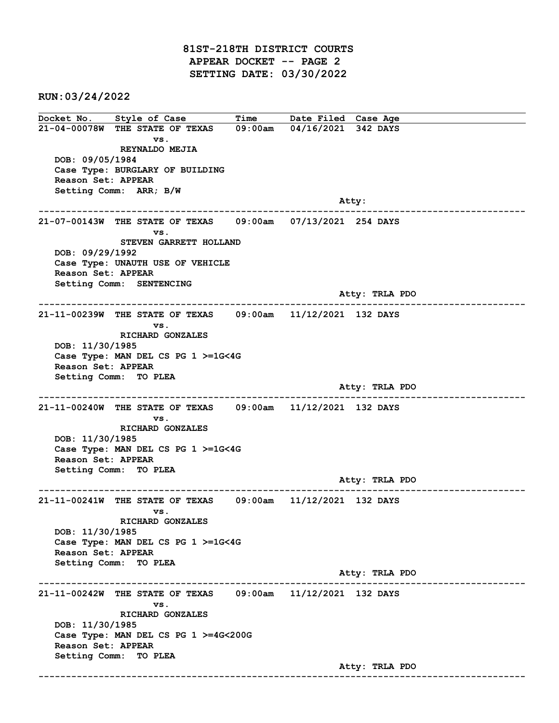81ST-218TH DISTRICT COURTS APPEAR DOCKET -- PAGE 2 SETTING DATE: 03/30/2022

RUN:03/24/2022

Docket No. Style of Case Time Date Filed Case Age 21-04-00078W THE STATE OF TEXAS 09:00am 04/16/2021 342 DAYS vs. REYNALDO MEJIA DOB: 09/05/1984 Case Type: BURGLARY OF BUILDING Reason Set: APPEAR Setting Comm: ARR; B/W and the control of the control of the control of the control of the control of the control of the control of the control of the control of the control of the control of the control of the control of the control of the cont ------------------------------------------------------------------------------------------------------------------------ 21-07-00143W THE STATE OF TEXAS 09:00am 07/13/2021 254 DAYS vs. STEVEN GARRETT HOLLAND DOB: 09/29/1992 Case Type: UNAUTH USE OF VEHICLE Reason Set: APPEAR Setting Comm: SENTENCING Atty: TRLA PDO ------------------------------------------------------------------------------------------------------------------------ 21-11-00239W THE STATE OF TEXAS 09:00am 11/12/2021 132 DAYS vs. RICHARD GONZALES DOB: 11/30/1985 Case Type: MAN DEL CS PG 1 >=1G<4G Reason Set: APPEAR Setting Comm: TO PLEA Atty: TRLA PDO ------------------------------------------------------------------------------------------------------------------------ 21-11-00240W THE STATE OF TEXAS 09:00am 11/12/2021 132 DAYS vs. RICHARD GONZALES DOB: 11/30/1985 Case Type: MAN DEL CS PG 1 >=1G<4G Reason Set: APPEAR Setting Comm: TO PLEA Atty: TRLA PDO ------------------------------------------------------------------------------------------------------------------------ 21-11-00241W THE STATE OF TEXAS 09:00am 11/12/2021 132 DAYS vs. RICHARD GONZALES DOB: 11/30/1985 Case Type: MAN DEL CS PG 1 >=1G<4G Reason Set: APPEAR Setting Comm: TO PLEA Atty: TRLA PDO ------------------------------------------------------------------------------------------------------------------------ 21-11-00242W THE STATE OF TEXAS 09:00am 11/12/2021 132 DAYS vs. RICHARD GONZALES DOB: 11/30/1985 Case Type: MAN DEL CS PG 1 >=4G<200G Reason Set: APPEAR Setting Comm: TO PLEA Atty: TRLA PDO ------------------------------------------------------------------------------------------------------------------------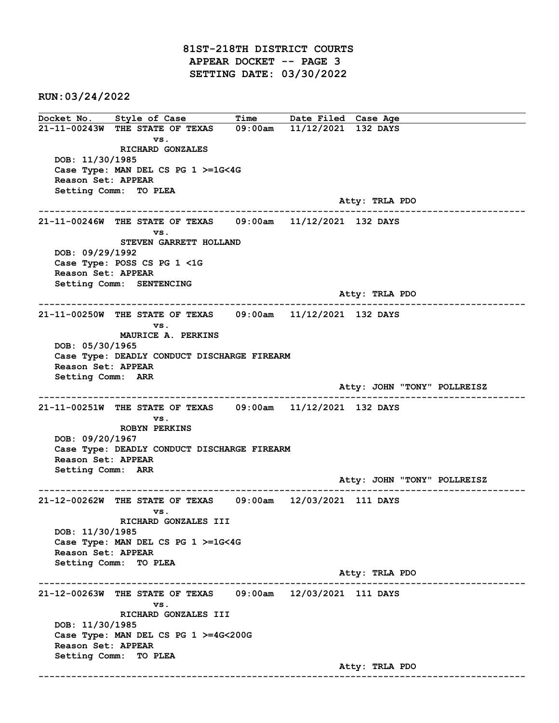81ST-218TH DISTRICT COURTS APPEAR DOCKET -- PAGE 3 SETTING DATE: 03/30/2022

RUN:03/24/2022

Docket No. Style of Case Time Date Filed Case Age 21-11-00243W THE STATE OF TEXAS 09:00am 11/12/2021 132 DAYS vs. RICHARD GONZALES DOB: 11/30/1985 Case Type: MAN DEL CS PG 1 >=1G<4G Reason Set: APPEAR Setting Comm: TO PLEA Atty: TRLA PDO ------------------------------------------------------------------------------------------------------------------------ 21-11-00246W THE STATE OF TEXAS 09:00am 11/12/2021 132 DAYS vs. STEVEN GARRETT HOLLAND DOB: 09/29/1992 Case Type: POSS CS PG 1 <1G Reason Set: APPEAR Setting Comm: SENTENCING Atty: TRLA PDO ------------------------------------------------------------------------------------------------------------------------ 21-11-00250W THE STATE OF TEXAS 09:00am 11/12/2021 132 DAYS vs. MAURICE A. PERKINS DOB: 05/30/1965 Case Type: DEADLY CONDUCT DISCHARGE FIREARM Reason Set: APPEAR Setting Comm: ARR Atty: JOHN "TONY" POLLREISZ ------------------------------------------------------------------------------------------------------------------------ 21-11-00251W THE STATE OF TEXAS 09:00am 11/12/2021 132 DAYS vs. ROBYN PERKINS DOB: 09/20/1967 Case Type: DEADLY CONDUCT DISCHARGE FIREARM Reason Set: APPEAR Setting Comm: ARR Atty: JOHN "TONY" POLLREISZ ------------------------------------------------------------------------------------------------------------------------ 21-12-00262W THE STATE OF TEXAS 09:00am 12/03/2021 111 DAYS vs. RICHARD GONZALES III DOB: 11/30/1985 Case Type: MAN DEL CS PG 1 >=1G<4G Reason Set: APPEAR Setting Comm: TO PLEA Atty: TRLA PDO ------------------------------------------------------------------------------------------------------------------------ 21-12-00263W THE STATE OF TEXAS 09:00am 12/03/2021 111 DAYS vs. RICHARD GONZALES III DOB: 11/30/1985 Case Type: MAN DEL CS PG 1 >=4G<200G Reason Set: APPEAR Setting Comm: TO PLEA Atty: TRLA PDO ------------------------------------------------------------------------------------------------------------------------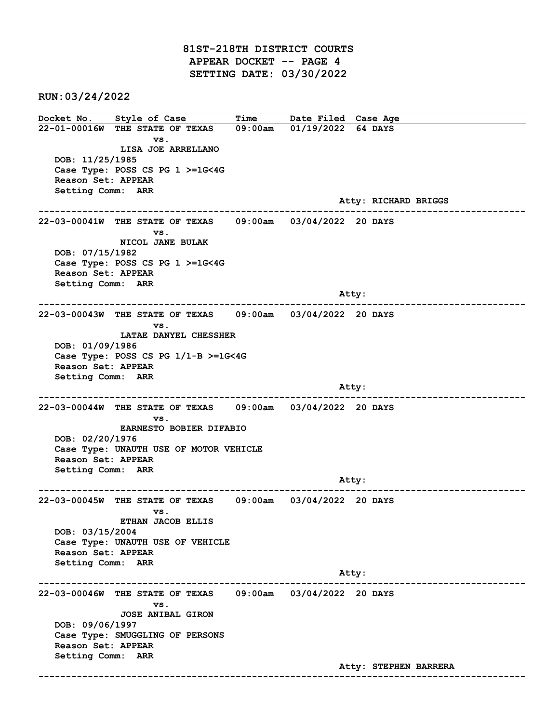81ST-218TH DISTRICT COURTS APPEAR DOCKET -- PAGE 4 SETTING DATE: 03/30/2022

RUN:03/24/2022

Docket No. Style of Case Time Date Filed Case Age 22-01-00016W THE STATE OF TEXAS 09:00am 01/19/2022 64 DAYS vs. LISA JOE ARRELLANO DOB: 11/25/1985 Case Type: POSS CS PG 1 >=1G<4G Reason Set: APPEAR Setting Comm: ARR Atty: RICHARD BRIGGS ------------------------------------------------------------------------------------------------------------------------ 22-03-00041W THE STATE OF TEXAS 09:00am 03/04/2022 20 DAYS vs. NICOL JANE BULAK DOB: 07/15/1982 Case Type: POSS CS PG 1 >=1G<4G Reason Set: APPEAR Setting Comm: ARR and the control of the control of the control of the control of the control of the control of the control of the control of the control of the control of the control of the control of the control of the control of the cont ------------------------------------------------------------------------------------------------------------------------ 22-03-00043W THE STATE OF TEXAS 09:00am 03/04/2022 20 DAYS vs. LATAE DANYEL CHESSHER DOB: 01/09/1986 Case Type: POSS CS PG 1/1-B >=1G<4G Reason Set: APPEAR Setting Comm: ARR and the control of the control of the control of the control of the control of the control of the control of the control of the control of the control of the control of the control of the control of the control of the cont ------------------------------------------------------------------------------------------------------------------------ 22-03-00044W THE STATE OF TEXAS 09:00am 03/04/2022 20 DAYS vs. EARNESTO BOBIER DIFABIO DOB: 02/20/1976 Case Type: UNAUTH USE OF MOTOR VEHICLE Reason Set: APPEAR Setting Comm: ARR Atty: ------------------------------------------------------------------------------------------------------------------------ 22-03-00045W THE STATE OF TEXAS 09:00am 03/04/2022 20 DAYS vs. ETHAN JACOB ELLIS DOB: 03/15/2004 Case Type: UNAUTH USE OF VEHICLE Reason Set: APPEAR Setting Comm: ARR Atty: ------------------------------------------------------------------------------------------------------------------------ 22-03-00046W THE STATE OF TEXAS 09:00am 03/04/2022 20 DAYS vs. JOSE ANIBAL GIRON DOB: 09/06/1997 Case Type: SMUGGLING OF PERSONS Reason Set: APPEAR Setting Comm: ARR Atty: STEPHEN BARRERA ------------------------------------------------------------------------------------------------------------------------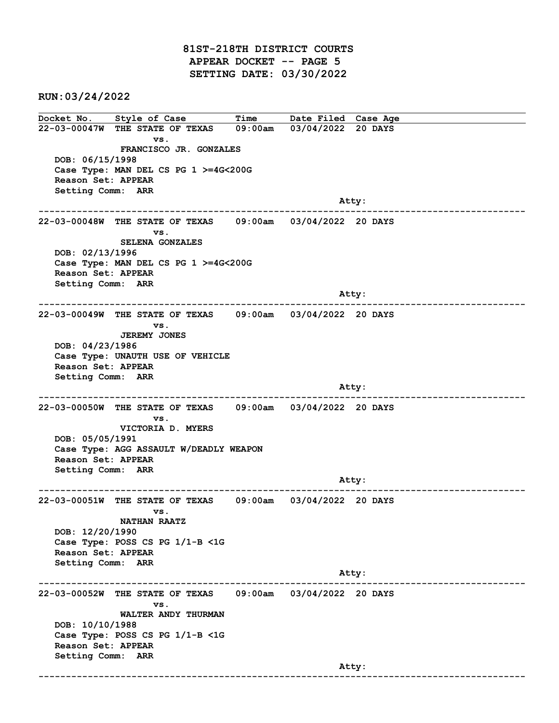81ST-218TH DISTRICT COURTS APPEAR DOCKET -- PAGE 5 SETTING DATE: 03/30/2022

RUN:03/24/2022

Docket No. Style of Case Time Date Filed Case Age 22-03-00047W THE STATE OF TEXAS 09:00am 03/04/2022 20 DAYS vs. FRANCISCO JR. GONZALES DOB: 06/15/1998 Case Type: MAN DEL CS PG 1 >=4G<200G Reason Set: APPEAR Setting Comm: ARR and the control of the control of the control of the control of the control of the control of the control of the control of the control of the control of the control of the control of the control of the control of the cont ------------------------------------------------------------------------------------------------------------------------ 22-03-00048W THE STATE OF TEXAS 09:00am 03/04/2022 20 DAYS vs. SELENA GONZALES DOB: 02/13/1996 Case Type: MAN DEL CS PG 1 >=4G<200G Reason Set: APPEAR Setting Comm: ARR and the control of the control of the control of the control of the control of the control of the control of the control of the control of the control of the control of the control of the control of the control of the cont ------------------------------------------------------------------------------------------------------------------------ 22-03-00049W THE STATE OF TEXAS 09:00am 03/04/2022 20 DAYS vs. JEREMY JONES DOB: 04/23/1986 Case Type: UNAUTH USE OF VEHICLE Reason Set: APPEAR Setting Comm: ARR and the control of the control of the control of the control of the control of the control of the control of the control of the control of the control of the control of the control of the control of the control of the cont ------------------------------------------------------------------------------------------------------------------------ 22-03-00050W THE STATE OF TEXAS 09:00am 03/04/2022 20 DAYS vs. VICTORIA D. MYERS DOB: 05/05/1991 Case Type: AGG ASSAULT W/DEADLY WEAPON Reason Set: APPEAR Setting Comm: ARR Atty: ------------------------------------------------------------------------------------------------------------------------ 22-03-00051W THE STATE OF TEXAS 09:00am 03/04/2022 20 DAYS vs. NATHAN RAATZ DOB: 12/20/1990 Case Type: POSS CS PG 1/1-B <1G Reason Set: APPEAR Setting Comm: ARR Atty: ------------------------------------------------------------------------------------------------------------------------ 22-03-00052W THE STATE OF TEXAS 09:00am 03/04/2022 20 DAYS vs. WALTER ANDY THURMAN DOB: 10/10/1988 Case Type: POSS CS PG 1/1-B <1G Reason Set: APPEAR Setting Comm: ARR and the control of the control of the control of the control of the control of the control of the control of the control of the control of the control of the control of the control of the control of the control of the cont ------------------------------------------------------------------------------------------------------------------------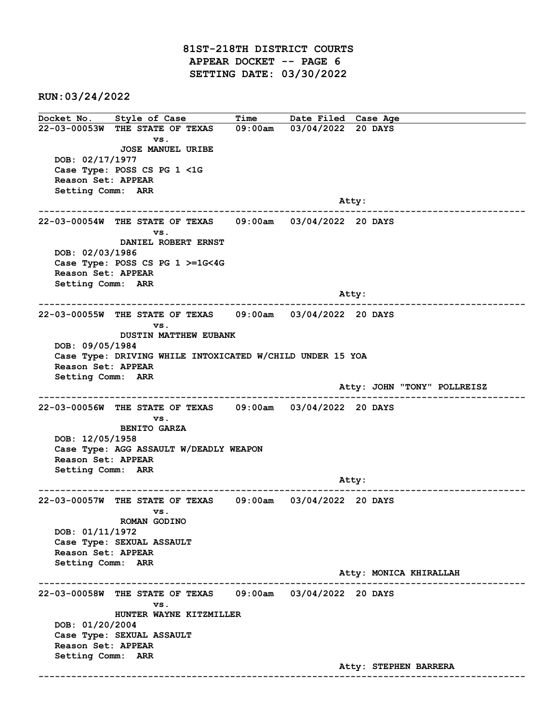81ST-218TH DISTRICT COURTS APPEAR DOCKET -- PAGE 6 SETTING DATE: 03/30/2022

RUN:03/24/2022

Docket No. Style of Case Time Date Filed Case Age 22-03-00053W THE STATE OF TEXAS 09:00am 03/04/2022 20 DAYS vs. JOSE MANUEL URIBE DOB: 02/17/1977 Case Type: POSS CS PG 1 <1G Reason Set: APPEAR Setting Comm: ARR and the control of the control of the control of the control of the control of the control of the control of the control of the control of the control of the control of the control of the control of the control of the cont ------------------------------------------------------------------------------------------------------------------------ 22-03-00054W THE STATE OF TEXAS 09:00am 03/04/2022 20 DAYS vs. DANIEL ROBERT ERNST DOB: 02/03/1986 Case Type: POSS CS PG 1 >=1G<4G Reason Set: APPEAR Setting Comm: ARR and the control of the control of the control of the control of the control of the control of the control of the control of the control of the control of the control of the control of the control of the control of the cont ------------------------------------------------------------------------------------------------------------------------ 22-03-00055W THE STATE OF TEXAS 09:00am 03/04/2022 20 DAYS vs. DUSTIN MATTHEW EUBANK DOB: 09/05/1984 Case Type: DRIVING WHILE INTOXICATED W/CHILD UNDER 15 YOA Reason Set: APPEAR Setting Comm: ARR Atty: JOHN "TONY" POLLREISZ ------------------------------------------------------------------------------------------------------------------------ 22-03-00056W THE STATE OF TEXAS 09:00am 03/04/2022 20 DAYS vs. BENITO GARZA DOB: 12/05/1958 Case Type: AGG ASSAULT W/DEADLY WEAPON Reason Set: APPEAR Setting Comm: ARR Atty: ------------------------------------------------------------------------------------------------------------------------ 22-03-00057W THE STATE OF TEXAS 09:00am 03/04/2022 20 DAYS vs. ROMAN GODINO DOB: 01/11/1972 Case Type: SEXUAL ASSAULT Reason Set: APPEAR Setting Comm: ARR Atty: MONICA KHIRALLAH ------------------------------------------------------------------------------------------------------------------------ 22-03-00058W THE STATE OF TEXAS 09:00am 03/04/2022 20 DAYS vs. HUNTER WAYNE KITZMILLER DOB: 01/20/2004 Case Type: SEXUAL ASSAULT Reason Set: APPEAR Setting Comm: ARR Atty: STEPHEN BARRERA ------------------------------------------------------------------------------------------------------------------------